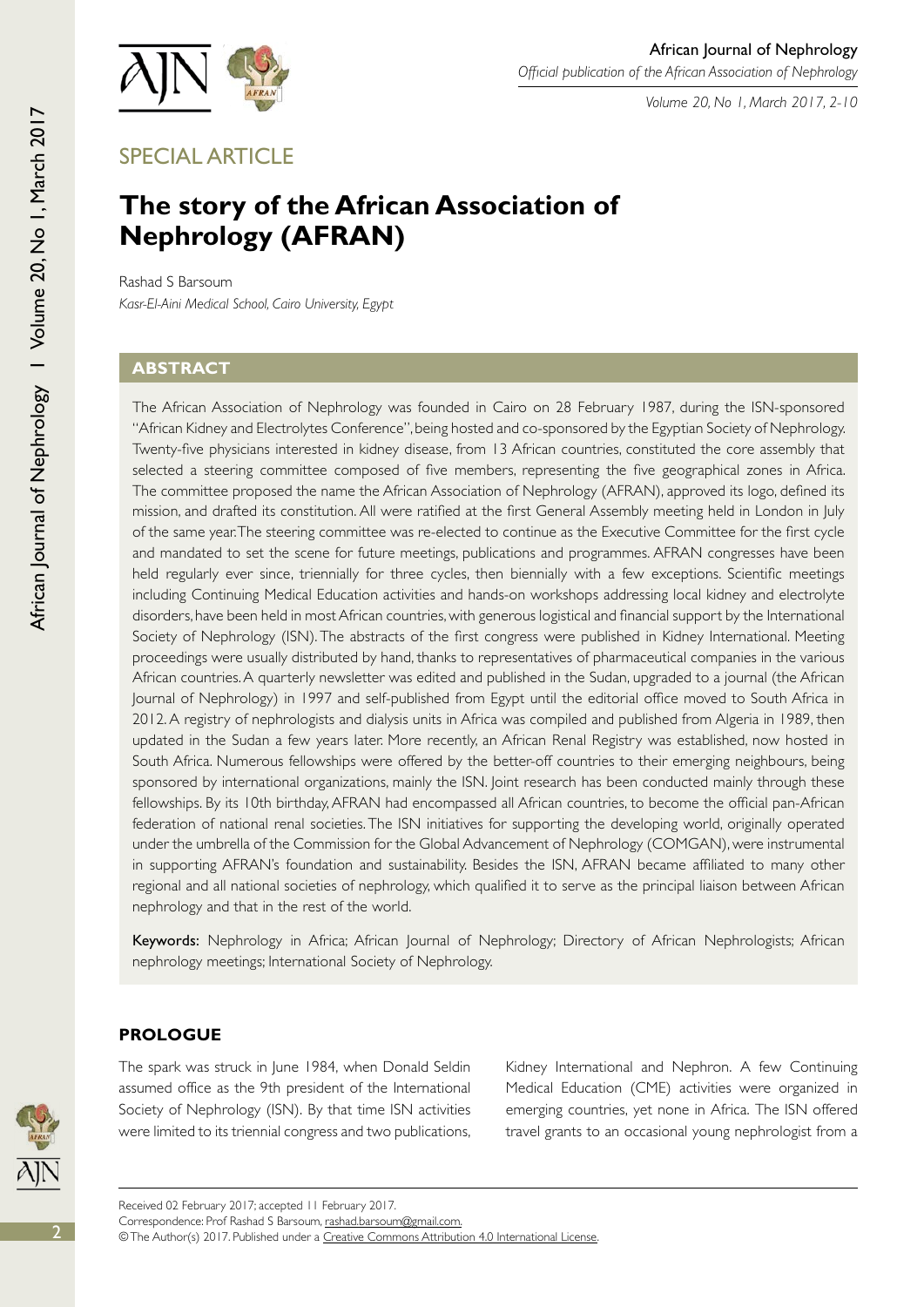

*Volume 20, No 1, March 2017, 2-10*

SPECIAL ARTICLE

# **The story of the African Association of Nephrology (AFRAN)**

Rashad S Barsoum *Kasr-El-Aini Medical School, Cairo University, Egypt*

## **Abstract**

African Journal of Nephrology I Volume 20, No 1, March 2017

African Journal of Nephrology | Volume 20, No 1, March 2017

The African Association of Nephrology was founded in Cairo on 28 February 1987, during the ISN-sponsored "African Kidney and Electrolytes Conference", being hosted and co-sponsored by the Egyptian Society of Nephrology. Twenty-five physicians interested in kidney disease, from 13 African countries, constituted the core assembly that selected a steering committee composed of five members, representing the five geographical zones in Africa. The committee proposed the name the African Association of Nephrology (AFRAN), approved its logo, defined its mission, and drafted its constitution. All were ratified at the first General Assembly meeting held in London in July of the same year. The steering committee was re-elected to continue as the Executive Committee for the first cycle and mandated to set the scene for future meetings, publications and programmes. AFRAN congresses have been held regularly ever since, triennially for three cycles, then biennially with a few exceptions. Scientific meetings including Continuing Medical Education activities and hands-on workshops addressing local kidney and electrolyte disorders, have been held in most African countries, with generous logistical and financial support by the International Society of Nephrology (ISN). The abstracts of the first congress were published in Kidney International. Meeting proceedings were usually distributed by hand, thanks to representatives of pharmaceutical companies in the various African countries. A quarterly newsletter was edited and published in the Sudan, upgraded to a journal (the African Journal of Nephrology) in 1997 and self-published from Egypt until the editorial office moved to South Africa in 2012. A registry of nephrologists and dialysis units in Africa was compiled and published from Algeria in 1989, then updated in the Sudan a few years later. More recently, an African Renal Registry was established, now hosted in South Africa. Numerous fellowships were offered by the better-off countries to their emerging neighbours, being sponsored by international organizations, mainly the ISN. Joint research has been conducted mainly through these fellowships. By its 10th birthday, AFRAN had encompassed all African countries, to become the official pan-African federation of national renal societies. The ISN initiatives for supporting the developing world, originally operated under the umbrella of the Commission for the Global Advancement of Nephrology (COMGAN), were instrumental in supporting AFRAN's foundation and sustainability. Besides the ISN, AFRAN became affiliated to many other regional and all national societies of nephrology, which qualified it to serve as the principal liaison between African nephrology and that in the rest of the world.

Keywords: Nephrology in Africa; African Journal of Nephrology; Directory of African Nephrologists; African nephrology meetings; International Society of Nephrology.

# **Prologue**

The spark was struck in June 1984, when Donald Seldin assumed office as the 9th president of the International Society of Nephrology (ISN). By that time ISN activities were limited to its triennial congress and two publications,

Kidney International and Nephron. A few Continuing Medical Education (CME) activities were organized in emerging countries, yet none in Africa. The ISN offered travel grants to an occasional young nephrologist from a

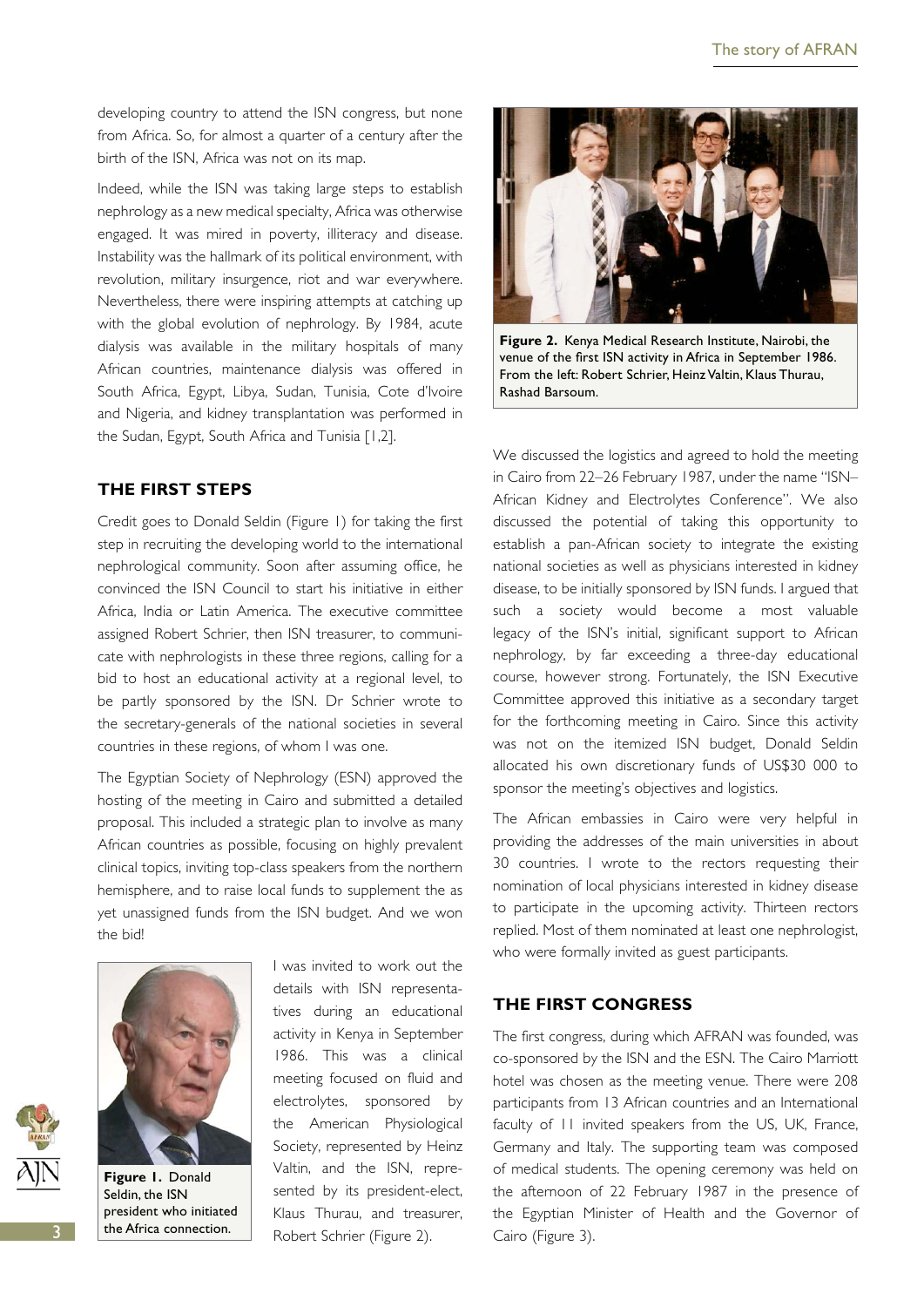developing country to attend the ISN congress, but none from Africa. So, for almost a quarter of a century after the birth of the ISN, Africa was not on its map.

Indeed, while the ISN was taking large steps to establish nephrology as a new medical specialty, Africa was otherwise engaged. It was mired in poverty, illiteracy and disease. Instability was the hallmark of its political environment, with revolution, military insurgence, riot and war everywhere. Nevertheless, there were inspiring attempts at catching up with the global evolution of nephrology. By 1984, acute dialysis was available in the military hospitals of many African countries, maintenance dialysis was offered in South Africa, Egypt, Libya, Sudan, Tunisia, Cote d'Ivoire and Nigeria, and kidney transplantation was performed in the Sudan, Egypt, South Africa and Tunisia [1,2].

#### **The first steps**

Credit goes to Donald Seldin (Figure 1) for taking the first step in recruiting the developing world to the international nephrological community. Soon after assuming office, he convinced the ISN Council to start his initiative in either Africa, India or Latin America. The executive committee assigned Robert Schrier, then ISN treasurer, to communicate with nephrologists in these three regions, calling for a bid to host an educational activity at a regional level, to be partly sponsored by the ISN. Dr Schrier wrote to the secretary-generals of the national societies in several countries in these regions, of whom I was one.

The Egyptian Society of Nephrology (ESN) approved the hosting of the meeting in Cairo and submitted a detailed proposal. This included a strategic plan to involve as many African countries as possible, focusing on highly prevalent clinical topics, inviting top-class speakers from the northern hemisphere, and to raise local funds to supplement the as yet unassigned funds from the ISN budget. And we won the bid!



**Figure 1.** Donald Seldin, the ISN president who initiated the Africa connection.

I was invited to work out the details with ISN representatives during an educational activity in Kenya in September 1986. This was a clinical meeting focused on fluid and electrolytes, sponsored by the American Physiological Society, represented by Heinz Valtin, and the ISN, represented by its president-elect, Klaus Thurau, and treasurer, Robert Schrier (Figure 2).



**Figure 2.** Kenya Medical Research Institute, Nairobi, the venue of the first ISN activity in Africa in September 1986. From the left: Robert Schrier, Heinz Valtin, Klaus Thurau, Rashad Barsoum.

We discussed the logistics and agreed to hold the meeting in Cairo from 22–26 February 1987, under the name "ISN– African Kidney and Electrolytes Conference". We also discussed the potential of taking this opportunity to establish a pan-African society to integrate the existing national societies as well as physicians interested in kidney disease, to be initially sponsored by ISN funds. I argued that such a society would become a most valuable legacy of the ISN's initial, significant support to African nephrology, by far exceeding a three-day educational course, however strong. Fortunately, the ISN Executive Committee approved this initiative as a secondary target for the forthcoming meeting in Cairo. Since this activity was not on the itemized ISN budget, Donald Seldin allocated his own discretionary funds of US\$30 000 to sponsor the meeting's objectives and logistics.

The African embassies in Cairo were very helpful in providing the addresses of the main universities in about 30 countries. I wrote to the rectors requesting their nomination of local physicians interested in kidney disease to participate in the upcoming activity. Thirteen rectors replied. Most of them nominated at least one nephrologist, who were formally invited as guest participants.

## **The first congress**

The first congress, during which AFRAN was founded, was co-sponsored by the ISN and the ESN. The Cairo Marriott hotel was chosen as the meeting venue. There were 208 participants from 13 African countries and an International faculty of 11 invited speakers from the US, UK, France, Germany and Italy. The supporting team was composed of medical students. The opening ceremony was held on the afternoon of 22 February 1987 in the presence of the Egyptian Minister of Health and the Governor of Cairo (Figure 3).

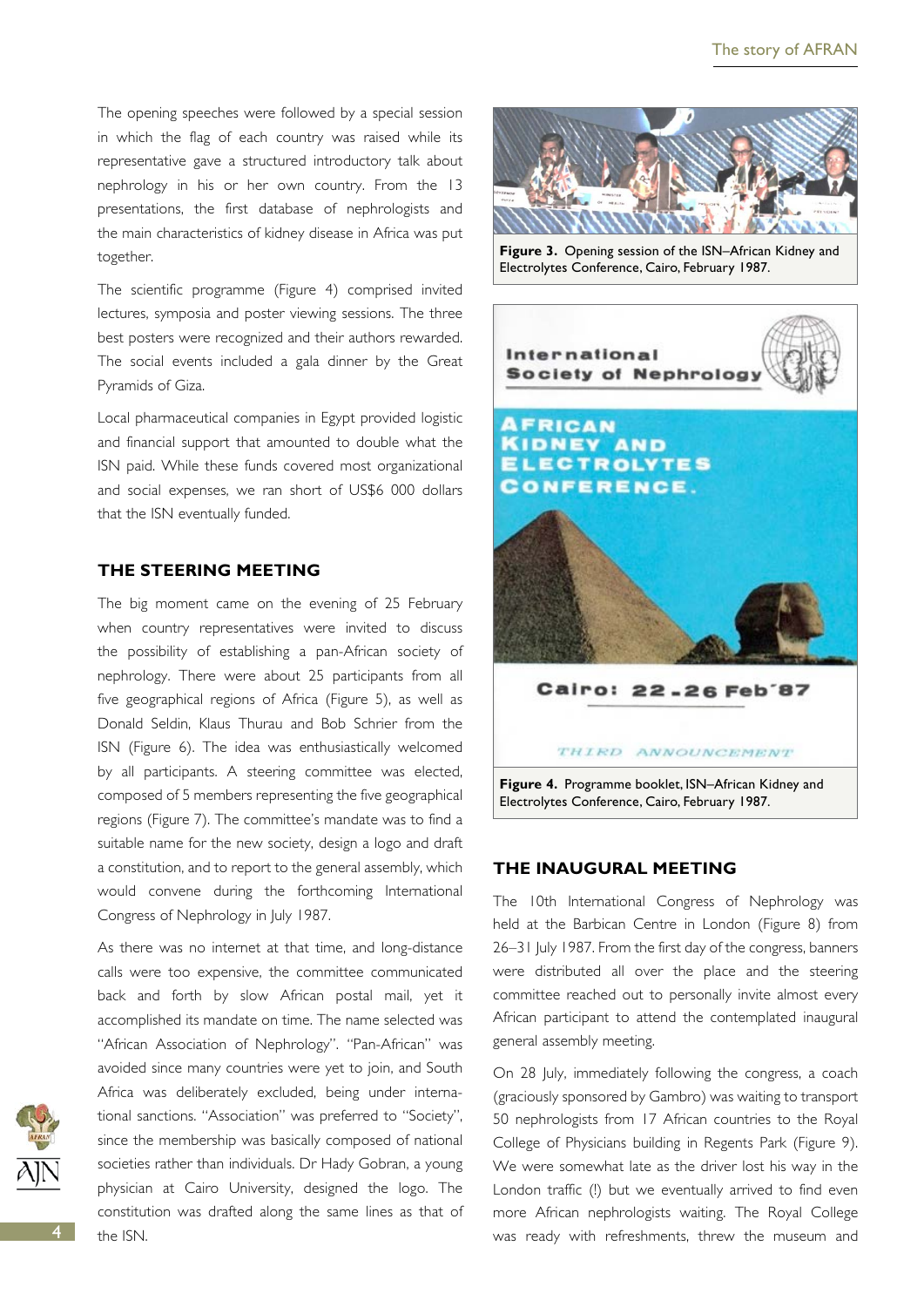The opening speeches were followed by a special session in which the flag of each country was raised while its representative gave a structured introductory talk about nephrology in his or her own country. From the 13 presentations, the first database of nephrologists and the main characteristics of kidney disease in Africa was put together.

The scientific programme (Figure 4) comprised invited lectures, symposia and poster viewing sessions. The three best posters were recognized and their authors rewarded. The social events included a gala dinner by the Great Pyramids of Giza.

Local pharmaceutical companies in Egypt provided logistic and financial support that amounted to double what the ISN paid. While these funds covered most organizational and social expenses, we ran short of US\$6 000 dollars that the ISN eventually funded.

## **The steering meeting**

The big moment came on the evening of 25 February when country representatives were invited to discuss the possibility of establishing a pan-African society of nephrology. There were about 25 participants from all five geographical regions of Africa (Figure 5), as well as Donald Seldin, Klaus Thurau and Bob Schrier from the ISN (Figure 6). The idea was enthusiastically welcomed by all participants. A steering committee was elected, composed of 5 members representing the five geographical regions (Figure 7). The committee's mandate was to find a suitable name for the new society, design a logo and draft a constitution, and to report to the general assembly, which would convene during the forthcoming International Congress of Nephrology in July 1987.

As there was no internet at that time, and long-distance calls were too expensive, the committee communicated back and forth by slow African postal mail, yet it accomplished its mandate on time. The name selected was "African Association of Nephrology". "Pan-African" was avoided since many countries were yet to join, and South Africa was deliberately excluded, being under international sanctions. "Association" was preferred to "Society", since the membership was basically composed of national societies rather than individuals. Dr Hady Gobran, a young physician at Cairo University, designed the logo. The constitution was drafted along the same lines as that of the ISN.



**Figure 3.** Opening session of the ISN–African Kidney and Electrolytes Conference, Cairo, February 1987.



#### **The inaugural meeting**

The 10th International Congress of Nephrology was held at the Barbican Centre in London (Figure 8) from 26–31 July 1987. From the first day of the congress, banners were distributed all over the place and the steering committee reached out to personally invite almost every African participant to attend the contemplated inaugural general assembly meeting.

On 28 July, immediately following the congress, a coach (graciously sponsored by Gambro) was waiting to transport 50 nephrologists from 17 African countries to the Royal College of Physicians building in Regents Park (Figure 9). We were somewhat late as the driver lost his way in the London traffic (!) but we eventually arrived to find even more African nephrologists waiting. The Royal College was ready with refreshments, threw the museum and

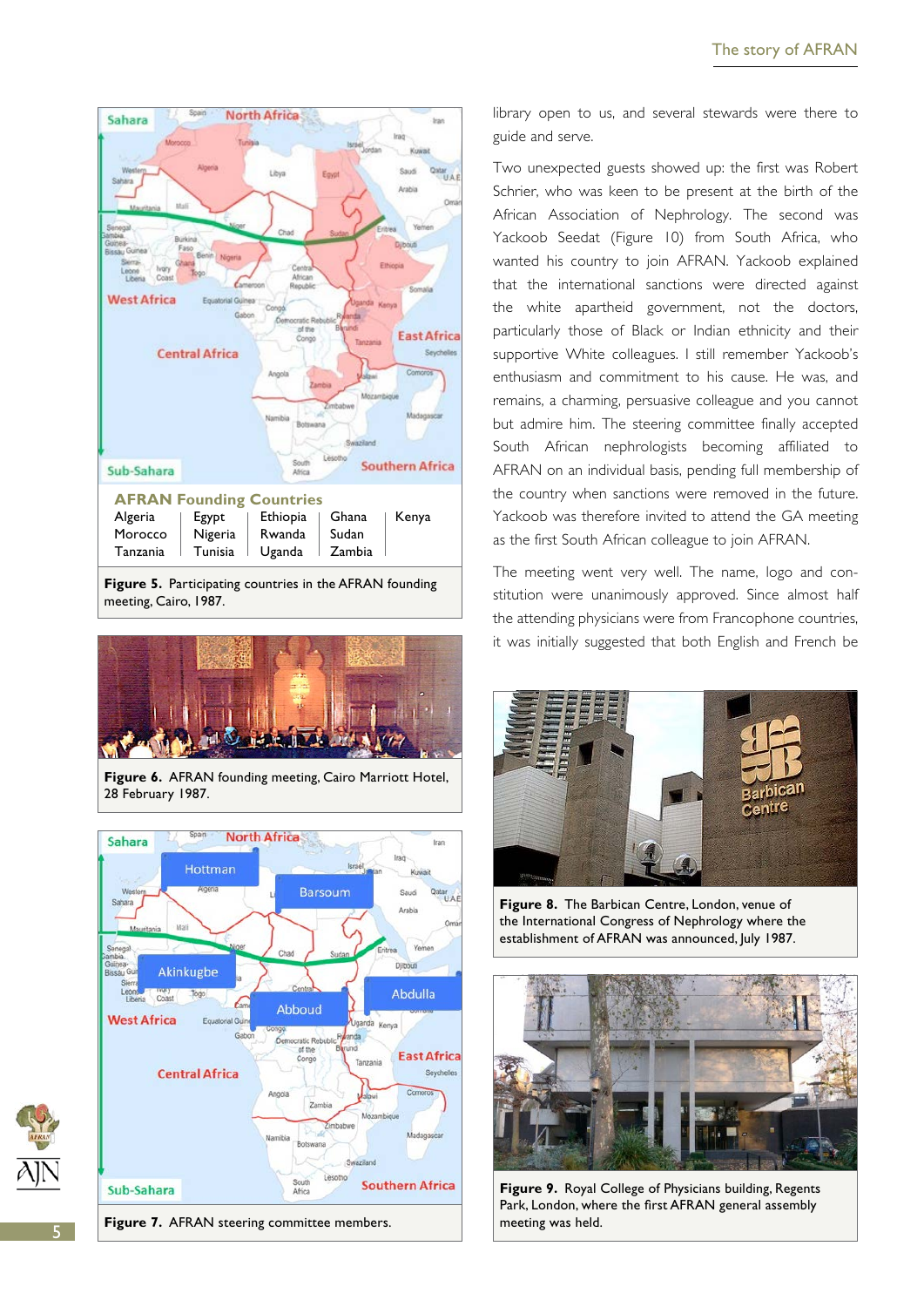

**Figure 5.** Participating countries in the AFRAN founding meeting, Cairo, 1987.



**Figure 6.** AFRAN founding meeting, Cairo Marriott Hotel, 28 February 1987.



**Figure 7.** AFRAN steering committee members.

library open to us, and several stewards were there to guide and serve.

Two unexpected guests showed up: the first was Robert Schrier, who was keen to be present at the birth of the African Association of Nephrology. The second was Yackoob Seedat (Figure 10) from South Africa, who wanted his country to join AFRAN. Yackoob explained that the international sanctions were directed against the white apartheid government, not the doctors, particularly those of Black or Indian ethnicity and their supportive White colleagues. I still remember Yackoob's enthusiasm and commitment to his cause. He was, and remains, a charming, persuasive colleague and you cannot but admire him. The steering committee finally accepted South African nephrologists becoming affiliated to AFRAN on an individual basis, pending full membership of the country when sanctions were removed in the future. Yackoob was therefore invited to attend the GA meeting as the first South African colleague to join AFRAN.

The meeting went very well. The name, logo and constitution were unanimously approved. Since almost half the attending physicians were from Francophone countries, it was initially suggested that both English and French be



**Figure 8.** The Barbican Centre, London, venue of the International Congress of Nephrology where the establishment of AFRAN was announced, July 1987.



**Figure 9.** Royal College of Physicians building, Regents Park, London, where the first AFRAN general assembly meeting was held.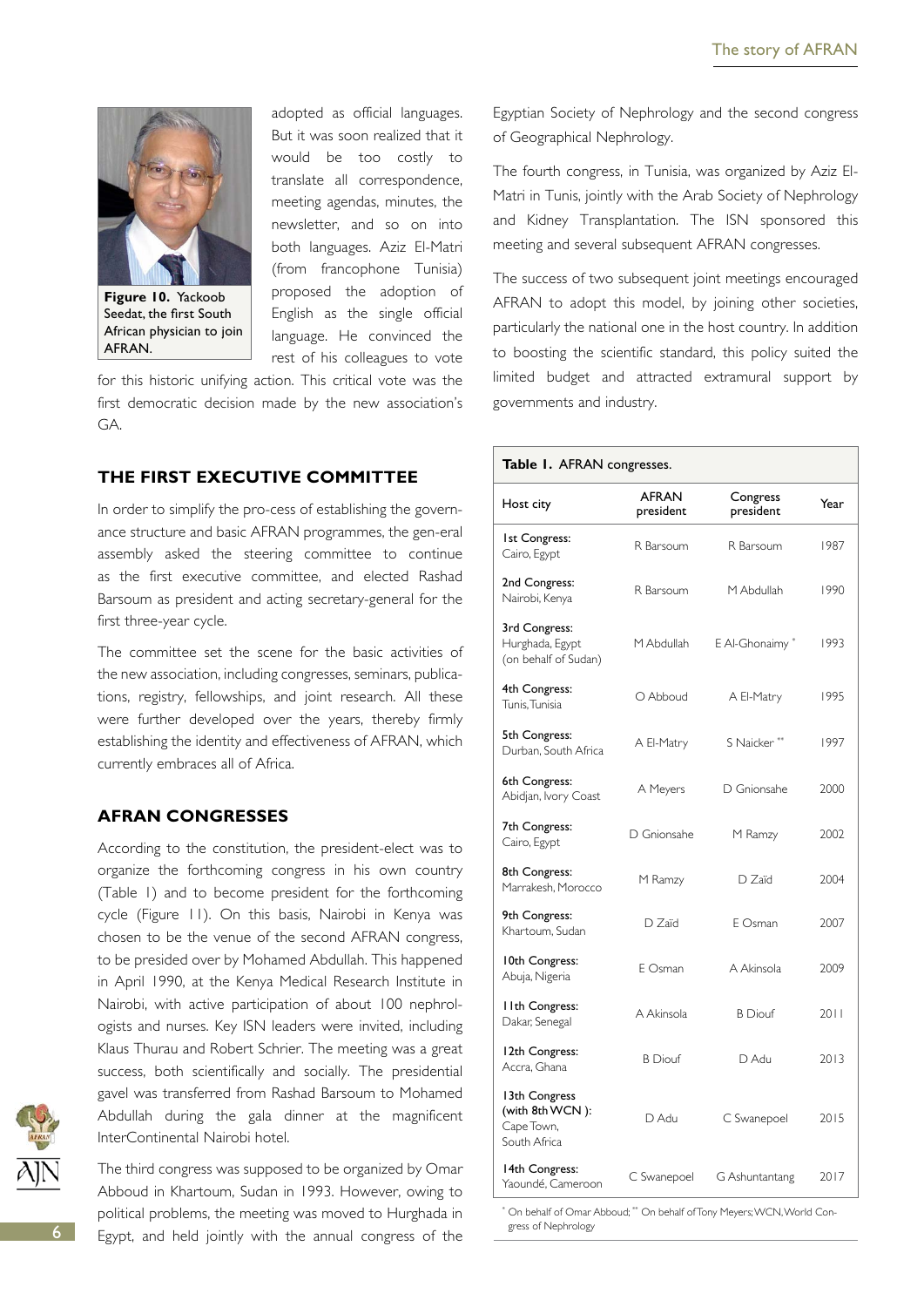

**Figure 10.** Yackoob Seedat, the first South African physician to join AFRAN.

adopted as official languages. But it was soon realized that it would be too costly to translate all correspondence, meeting agendas, minutes, the newsletter, and so on into both languages. Aziz El-Matri (from francophone Tunisia) proposed the adoption of English as the single official language. He convinced the rest of his colleagues to vote

for this historic unifying action. This critical vote was the first democratic decision made by the new association's GA.

## **The first executive committee**

In order to simplify the pro-cess of establishing the governance structure and basic AFRAN programmes, the gen-eral assembly asked the steering committee to continue as the first executive committee, and elected Rashad Barsoum as president and acting secretary-general for the first three-year cycle.

The committee set the scene for the basic activities of the new association, including congresses, seminars, publications, registry, fellowships, and joint research. All these were further developed over the years, thereby firmly establishing the identity and effectiveness of AFRAN, which currently embraces all of Africa.

#### **AFRAN congresses**

According to the constitution, the president-elect was to organize the forthcoming congress in his own country (Table 1) and to become president for the forthcoming cycle (Figure 11). On this basis, Nairobi in Kenya was chosen to be the venue of the second AFRAN congress, to be presided over by Mohamed Abdullah. This happened in April 1990, at the Kenya Medical Research Institute in Nairobi, with active participation of about 100 nephrologists and nurses. Key ISN leaders were invited, including Klaus Thurau and Robert Schrier. The meeting was a great success, both scientifically and socially. The presidential gavel was transferred from Rashad Barsoum to Mohamed Abdullah during the gala dinner at the magnificent InterContinental Nairobi hotel.

The third congress was supposed to be organized by Omar Abboud in Khartoum, Sudan in 1993. However, owing to political problems, the meeting was moved to Hurghada in Egypt, and held jointly with the annual congress of the Egyptian Society of Nephrology and the second congress of Geographical Nephrology.

The fourth congress, in Tunisia, was organized by Aziz El-Matri in Tunis, jointly with the Arab Society of Nephrology and Kidney Transplantation. The ISN sponsored this meeting and several subsequent AFRAN congresses.

The success of two subsequent joint meetings encouraged AFRAN to adopt this model, by joining other societies, particularly the national one in the host country. In addition to boosting the scientific standard, this policy suited the limited budget and attracted extramural support by governments and industry.

#### **Table 1.** AFRAN congresses.

| Host city                                                      | <b>AFRAN</b><br>president | Congress<br>president | Year |
|----------------------------------------------------------------|---------------------------|-----------------------|------|
| <b>Ist Congress:</b><br>Cairo, Egypt                           | R Barsoum                 | R Barsoum             | 1987 |
| 2nd Congress:<br>Nairobi, Kenya                                | R Barsoum                 | M Abdullah            | 1990 |
| 3rd Congress:<br>Hurghada, Egypt<br>(on behalf of Sudan)       | M Abdullah                | E Al-Ghonaimy*        | 1993 |
| 4th Congress:<br>Tunis, Tunisia                                | O Abboud                  | A El-Matry            | 1995 |
| 5th Congress:<br>Durban, South Africa                          | A El-Matry                | S Naicker**           | 1997 |
| 6th Congress:<br>Abidjan, Ivory Coast                          | A Meyers                  | D Gnionsahe           | 2000 |
| 7th Congress:<br>Cairo, Egypt                                  | D Gnionsahe               | M Ramzy               | 2002 |
| 8th Congress:<br>Marrakesh, Morocco                            | M Ramzy                   | D Zaïd                | 2004 |
| 9th Congress:<br>Khartoum, Sudan                               | D Zaïd                    | E Osman               | 2007 |
| 10th Congress:<br>Abuja, Nigeria                               | F Osman                   | A Akinsola            | 2009 |
| I I th Congress:<br>Dakar, Senegal                             | A Akinsola                | <b>B</b> Diouf        | 2011 |
| 12th Congress:<br>Accra, Ghana                                 | <b>B</b> Diouf            | D Adu                 | 2013 |
| 13th Congress<br>(with 8th WCN):<br>Cape Town,<br>South Africa | D Adu                     | C Swanepoel           | 2015 |
| 14th Congress:<br>Yaoundé, Cameroon                            | C Swanepoel               | G Ashuntantang        | 2017 |

\* On behalf of Omar Abboud; \*\* On behalf of Tony Meyers; WCN, World Congress of Nephrology

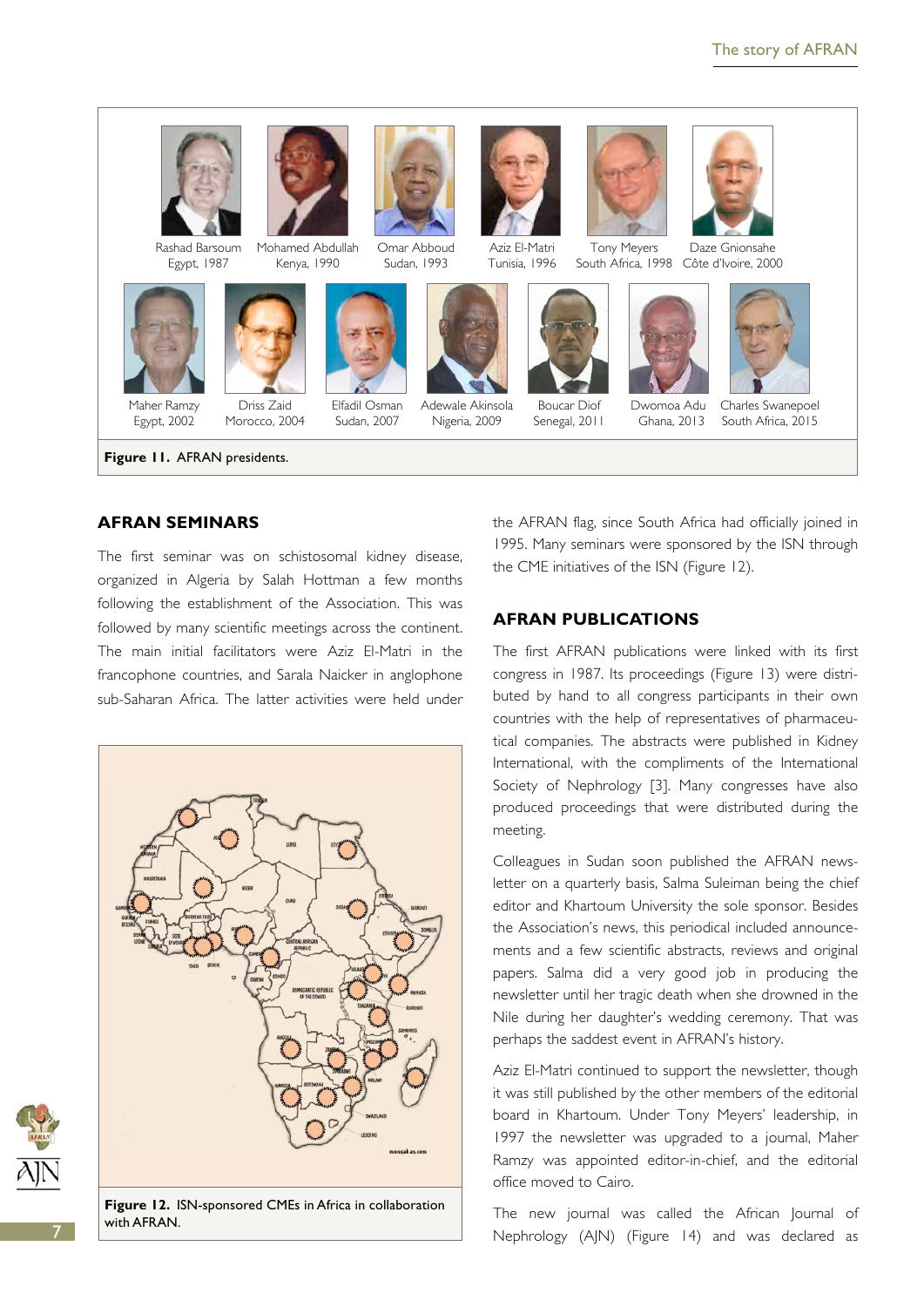

Rashad Barsoum Egypt, 1987 Mohamed Abdullah





Driss Zaid Morocco, 2004

Kenya, 1990



Elfadil Osman Sudan, 2007



Omar Abboud Sudan, 1993

> Adewale Akinsola Nigeria, 2009



Aziz El-Matri Tunisia, 1996



Boucar Diof Senegal, 2011



Tony Meyers South Africa, 1998 Côte d'Ivoire, 2000 Daze Gnionsahe



Ghana, 2013 Charles Swanepoel South Africa, 2015

**Figure 11.** AFRAN presidents.

Egypt, 2002

## **AFRAN seminars**

The first seminar was on schistosomal kidney disease, organized in Algeria by Salah Hottman a few months following the establishment of the Association. This was followed by many scientific meetings across the continent. The main initial facilitators were Aziz El-Matri in the francophone countries, and Sarala Naicker in anglophone sub-Saharan Africa. The latter activities were held under



**Figure 12.** ISN-sponsored CMEs in Africa in collaboration with AFRAN.

the AFRAN flag, since South Africa had officially joined in 1995. Many seminars were sponsored by the ISN through the CME initiatives of the ISN (Figure 12).

#### **AFRAN publications**

The first AFRAN publications were linked with its first congress in 1987. Its proceedings (Figure 13) were distributed by hand to all congress participants in their own countries with the help of representatives of pharmaceutical companies. The abstracts were published in Kidney International, with the compliments of the International Society of Nephrology [3]. Many congresses have also produced proceedings that were distributed during the meeting.

Colleagues in Sudan soon published the AFRAN newsletter on a quarterly basis, Salma Suleiman being the chief editor and Khartoum University the sole sponsor. Besides the Association's news, this periodical included announcements and a few scientific abstracts, reviews and original papers. Salma did a very good job in producing the newsletter until her tragic death when she drowned in the Nile during her daughter's wedding ceremony. That was perhaps the saddest event in AFRAN's history.

Aziz El-Matri continued to support the newsletter, though it was still published by the other members of the editorial board in Khartoum. Under Tony Meyers' leadership, in 1997 the newsletter was upgraded to a journal, Maher Ramzy was appointed editor-in-chief, and the editorial office moved to Cairo.

The new journal was called the African Journal of Nephrology (AJN) (Figure 14) and was declared as

7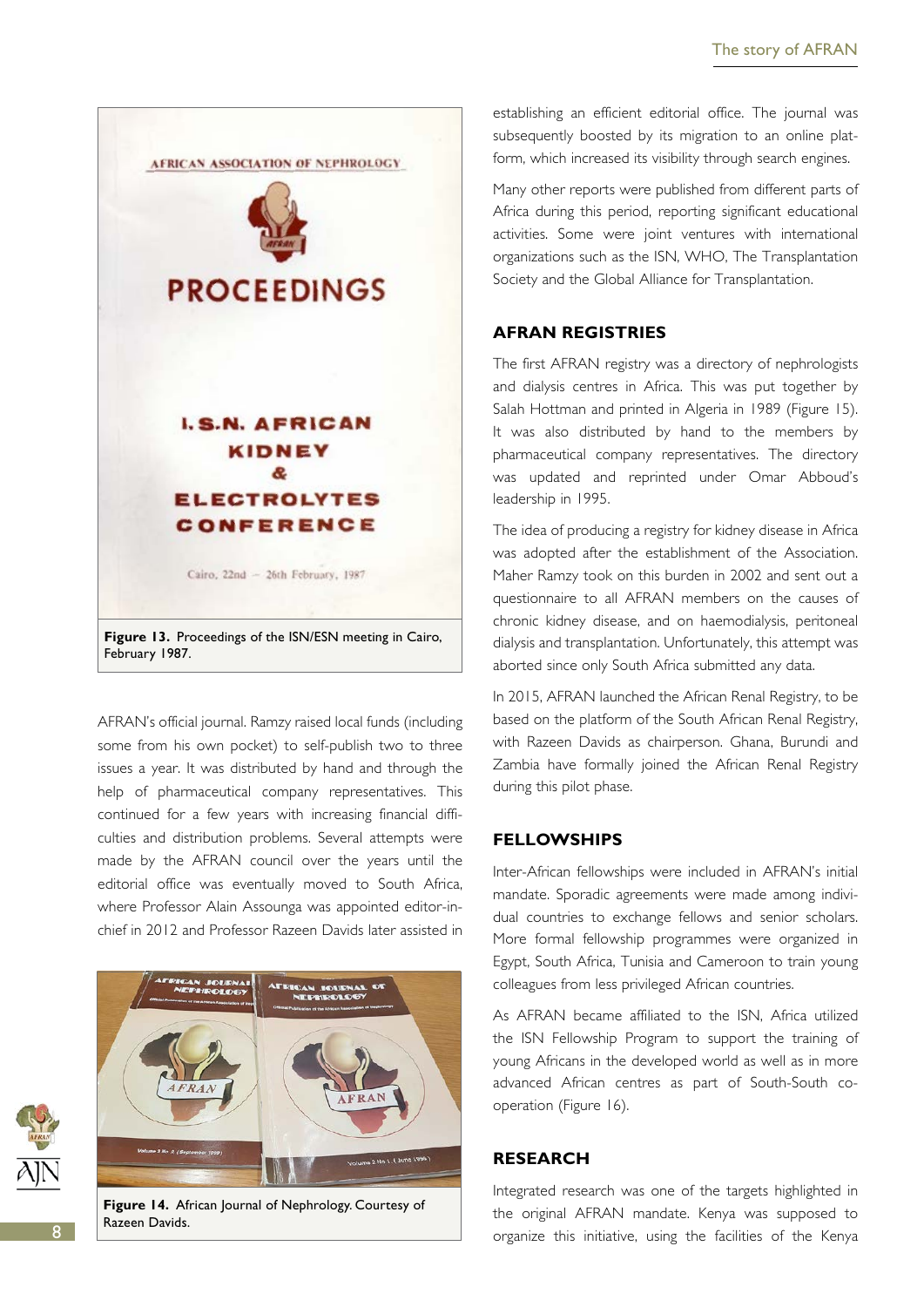

AFRAN's official journal. Ramzy raised local funds (including some from his own pocket) to self-publish two to three issues a year. It was distributed by hand and through the help of pharmaceutical company representatives. This continued for a few years with increasing financial difficulties and distribution problems. Several attempts were made by the AFRAN council over the years until the editorial office was eventually moved to South Africa, where Professor Alain Assounga was appointed editor-inchief in 2012 and Professor Razeen Davids later assisted in



establishing an efficient editorial office. The journal was subsequently boosted by its migration to an online platform, which increased its visibility through search engines.

Many other reports were published from different parts of Africa during this period, reporting significant educational activities. Some were joint ventures with international organizations such as the ISN, WHO, The Transplantation Society and the Global Alliance for Transplantation.

## **AFRAN registries**

The first AFRAN registry was a directory of nephrologists and dialysis centres in Africa. This was put together by Salah Hottman and printed in Algeria in 1989 (Figure 15). It was also distributed by hand to the members by pharmaceutical company representatives. The directory was updated and reprinted under Omar Abboud's leadership in 1995.

The idea of producing a registry for kidney disease in Africa was adopted after the establishment of the Association. Maher Ramzy took on this burden in 2002 and sent out a questionnaire to all AFRAN members on the causes of chronic kidney disease, and on haemodialysis, peritoneal dialysis and transplantation. Unfortunately, this attempt was aborted since only South Africa submitted any data.

In 2015, AFRAN launched the African Renal Registry, to be based on the platform of the South African Renal Registry, with Razeen Davids as chairperson. Ghana, Burundi and Zambia have formally joined the African Renal Registry during this pilot phase.

#### **Fellowships**

Inter-African fellowships were included in AFRAN's initial mandate. Sporadic agreements were made among individual countries to exchange fellows and senior scholars. More formal fellowship programmes were organized in Egypt, South Africa, Tunisia and Cameroon to train young colleagues from less privileged African countries.

As AFRAN became affiliated to the ISN, Africa utilized the ISN Fellowship Program to support the training of young Africans in the developed world as well as in more advanced African centres as part of South-South cooperation (Figure 16).

#### **Research**

Integrated research was one of the targets highlighted in the original AFRAN mandate. Kenya was supposed to organize this initiative, using the facilities of the Kenya

Razeen Davids.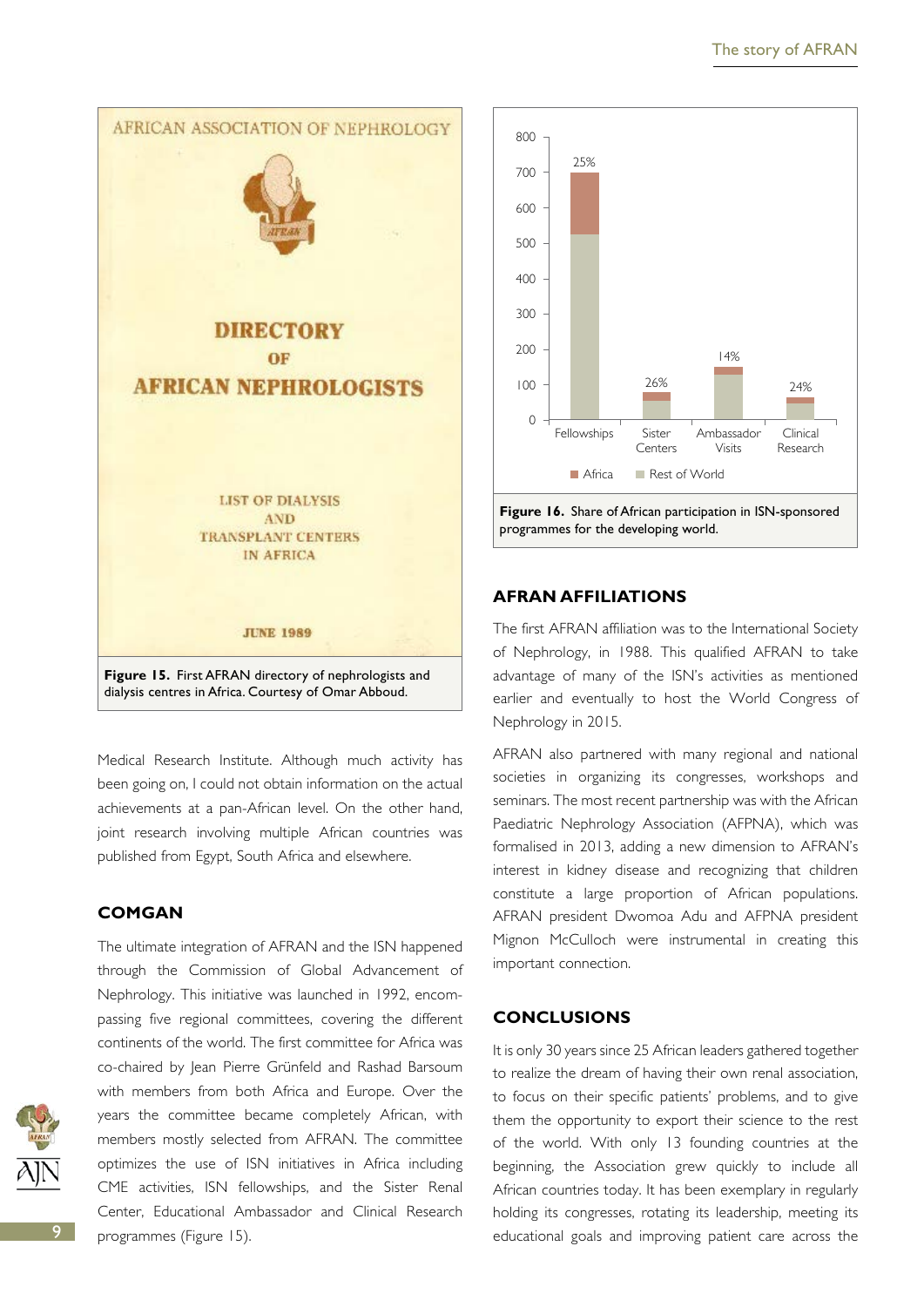

Medical Research Institute. Although much activity has been going on, I could not obtain information on the actual achievements at a pan-African level. On the other hand, joint research involving multiple African countries was published from Egypt, South Africa and elsewhere.

## **COMGAN**

The ultimate integration of AFRAN and the ISN happened through the Commission of Global Advancement of Nephrology. This initiative was launched in 1992, encompassing five regional committees, covering the different continents of the world. The first committee for Africa was co-chaired by Jean Pierre Grünfeld and Rashad Barsoum with members from both Africa and Europe. Over the years the committee became completely African, with members mostly selected from AFRAN. The committee optimizes the use of ISN initiatives in Africa including CME activities, ISN fellowships, and the Sister Renal Center, Educational Ambassador and Clinical Research programmes (Figure 15).



## **AFRAN affiliations**

The first AFRAN affiliation was to the International Society of Nephrology, in 1988. This qualified AFRAN to take advantage of many of the ISN's activities as mentioned earlier and eventually to host the World Congress of Nephrology in 2015.

AFRAN also partnered with many regional and national societies in organizing its congresses, workshops and seminars. The most recent partnership was with the African Paediatric Nephrology Association (AFPNA), which was formalised in 2013, adding a new dimension to AFRAN's interest in kidney disease and recognizing that children constitute a large proportion of African populations. AFRAN president Dwomoa Adu and AFPNA president Mignon McCulloch were instrumental in creating this important connection.

## **Conclusions**

It is only 30 years since 25 African leaders gathered together to realize the dream of having their own renal association, to focus on their specific patients' problems, and to give them the opportunity to export their science to the rest of the world. With only 13 founding countries at the beginning, the Association grew quickly to include all African countries today. It has been exemplary in regularly holding its congresses, rotating its leadership, meeting its educational goals and improving patient care across the